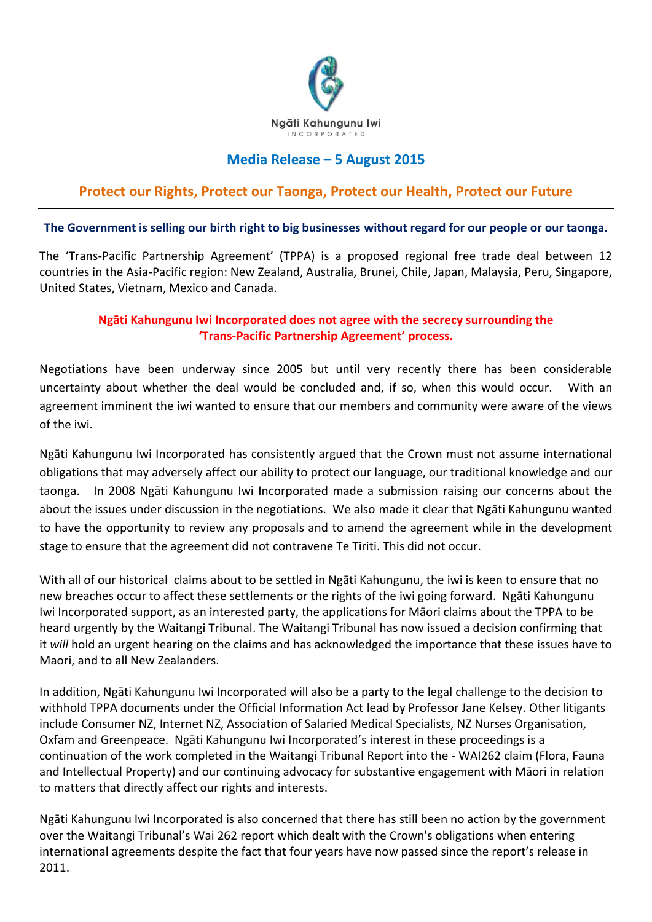

## **Media Release – 5 August 2015**

## **Protect our Rights, Protect our Taonga, Protect our Health, Protect our Future**

## **The Government is selling our birth right to big businesses without regard for our people or our taonga.**

The 'Trans-Pacific Partnership Agreement' (TPPA) is a proposed regional free trade deal between 12 countries in the Asia-Pacific region: New Zealand, Australia, Brunei, Chile, Japan, Malaysia, Peru, Singapore, United States, Vietnam, Mexico and Canada.

## **Ngāti Kahungunu Iwi Incorporated does not agree with the secrecy surrounding the 'Trans-Pacific Partnership Agreement' process.**

Negotiations have been underway since 2005 but until very recently there has been considerable uncertainty about whether the deal would be concluded and, if so, when this would occur. With an agreement imminent the iwi wanted to ensure that our members and community were aware of the views of the iwi.

Ngāti Kahungunu Iwi Incorporated has consistently argued that the Crown must not assume international obligations that may adversely affect our ability to protect our language, our traditional knowledge and our taonga. In 2008 Ngāti Kahungunu Iwi Incorporated made a submission raising our concerns about the about the issues under discussion in the negotiations. We also made it clear that Ngāti Kahungunu wanted to have the opportunity to review any proposals and to amend the agreement while in the development stage to ensure that the agreement did not contravene Te Tiriti. This did not occur.

With all of our historical claims about to be settled in Ngāti Kahungunu, the iwi is keen to ensure that no new breaches occur to affect these settlements or the rights of the iwi going forward. Ngāti Kahungunu Iwi Incorporated support, as an interested party, the applications for Māori claims about the TPPA to be heard urgently by the Waitangi Tribunal. The Waitangi Tribunal has now issued a decision confirming that it *will* hold an urgent hearing on the claims and has acknowledged the importance that these issues have to Maori, and to all New Zealanders.

In addition, Ngāti Kahungunu Iwi Incorporated will also be a party to the legal challenge to the decision to withhold TPPA documents under the Official Information Act lead by Professor Jane Kelsey. Other litigants include Consumer NZ, Internet NZ, Association of Salaried Medical Specialists, NZ Nurses Organisation, Oxfam and Greenpeace. Ngāti Kahungunu Iwi Incorporated's interest in these proceedings is a continuation of the work completed in the Waitangi Tribunal Report into the - WAI262 claim (Flora, Fauna and Intellectual Property) and our continuing advocacy for substantive engagement with Māori in relation to matters that directly affect our rights and interests.

Ngāti Kahungunu Iwi Incorporated is also concerned that there has still been no action by the government over the Waitangi Tribunal's Wai 262 report which dealt with the Crown's obligations when entering international agreements despite the fact that four years have now passed since the report's release in 2011.